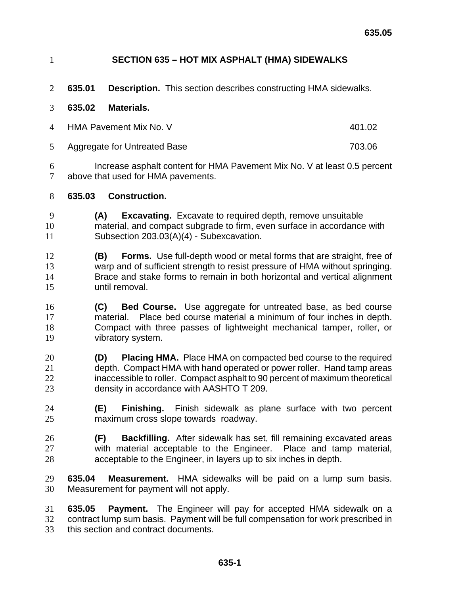- **SECTION 635 HOT MIX ASPHALT (HMA) SIDEWALKS**
- **635.01 Description.** This section describes constructing HMA sidewalks.
- **635.02 Materials.**
- 4 HMA Pavement Mix No. V 401.02
- Aggregate for Untreated Base 703.06

Increase asphalt content for HMA Pavement Mix No. V at least 0.5 percent above that used for HMA pavements.

- **635.03 Construction.**
- **(A) Excavating.** Excavate to required depth, remove unsuitable material, and compact subgrade to firm, even surface in accordance with Subsection 203.03(A)(4) - Subexcavation.
- **(B) Forms.** Use full-depth wood or metal forms that are straight, free of warp and of sufficient strength to resist pressure of HMA without springing. Brace and stake forms to remain in both horizontal and vertical alignment until removal.
- **(C) Bed Course.** Use aggregate for untreated base, as bed course material. Place bed course material a minimum of four inches in depth. Compact with three passes of lightweight mechanical tamper, roller, or vibratory system.
- **(D) Placing HMA.** Place HMA on compacted bed course to the required depth. Compact HMA with hand operated or power roller. Hand tamp areas inaccessible to roller. Compact asphalt to 90 percent of maximum theoretical density in accordance with AASHTO T 209.
- **(E) Finishing.** Finish sidewalk as plane surface with two percent maximum cross slope towards roadway.
- **(F) Backfilling.** After sidewalk has set, fill remaining excavated areas with material acceptable to the Engineer. Place and tamp material, acceptable to the Engineer, in layers up to six inches in depth.
- **635.04 Measurement.** HMA sidewalks will be paid on a lump sum basis. Measurement for payment will not apply.
- **635.05 Payment.** The Engineer will pay for accepted HMA sidewalk on a contract lump sum basis. Payment will be full compensation for work prescribed in this section and contract documents.